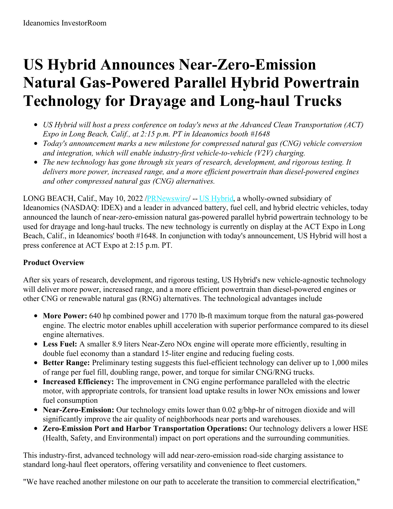# **US Hybrid Announces Near-Zero-Emission Natural Gas-Powered Parallel Hybrid Powertrain Technology for Drayage and Long-haul Trucks**

- *US Hybrid will host a press conference on today's news at the Advanced Clean Transportation (ACT) Expo in Long Beach, Calif., at 2:15 p.m. PT in Ideanomics booth #1648*
- *Today's announcement marks a new milestone for compressed natural gas (CNG) vehicle conversion and integration, which will enable industry-first vehicle-to-vehicle (V2V) charging.*
- *The new technology has gone through six years of research, development, and rigorous testing. It delivers more power, increased range, and a more ef icient powertrain than diesel-powered engines and other compressed natural gas (CNG) alternatives.*

LONG BEACH, Calif., May 10, 2022 [/PRNewswire](http://www.prnewswire.com/)/ -- US [Hybrid](https://c212.net/c/link/?t=0&l=en&o=3527999-1&h=3144897235&u=https%3A%2F%2Fushybrid.com%2F&a=US+Hybrid), a wholly-owned subsidiary of Ideanomics (NASDAQ: IDEX) and a leader in advanced battery, fuel cell, and hybrid electric vehicles, today announced the launch of near-zero-emission natural gas-powered parallel hybrid powertrain technology to be used for drayage and long-haul trucks. The new technology is currently on display at the ACT Expo in Long Beach, Calif., in Ideanomics' booth #1648. In conjunction with today's announcement, US Hybrid will host a press conference at ACT Expo at 2:15 p.m. PT.

### **Product Overview**

After six years of research, development, and rigorous testing, US Hybrid's new vehicle-agnostic technology will deliver more power, increased range, and a more efficient powertrain than diesel-powered engines or other CNG or renewable natural gas (RNG) alternatives. The technological advantages include

- **More Power:** 640 hp combined power and 1770 lb-ft maximum torque from the natural gas-powered engine. The electric motor enables uphill acceleration with superior performance compared to its diesel engine alternatives.
- **Less Fuel:** A smaller 8.9 liters Near-Zero NOx engine will operate more efficiently, resulting in double fuel economy than a standard 15-liter engine and reducing fueling costs.
- **Better Range:** Preliminary testing suggests this fuel-efficient technology can deliver up to 1,000 miles of range per fuel fill, doubling range, power, and torque for similar CNG/RNG trucks.
- **Increased Efficiency:** The improvement in CNG engine performance paralleled with the electric motor, with appropriate controls, for transient load uptake results in lower NOx emissions and lower fuel consumption
- **Near-Zero-Emission:** Our technology emits lower than 0.02 g/bhp-hr of nitrogen dioxide and will significantly improve the air quality of neighborhoods near ports and warehouses.
- **Zero-Emission Port and Harbor Transportation Operations:** Our technology delivers a lower HSE (Health, Safety, and Environmental) impact on port operations and the surrounding communities.

This industry-first, advanced technology will add near-zero-emission road-side charging assistance to standard long-haul fleet operators, offering versatility and convenience to fleet customers.

"We have reached another milestone on our path to accelerate the transition to commercial electrification,"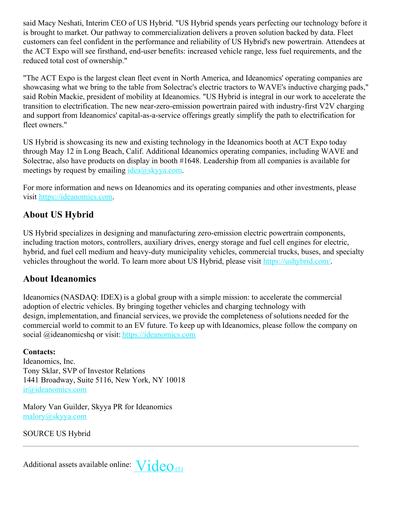said Macy Neshati, Interim CEO of US Hybrid. "US Hybrid spends years perfecting our technology before it is brought to market. Our pathway to commercialization delivers a proven solution backed by data. Fleet customers can feel confident in the performance and reliability of US Hybrid's new powertrain. Attendees at the ACT Expo will see firsthand, end-user benefits: increased vehicle range, less fuel requirements, and the reduced total cost of ownership."

"The ACT Expo is the largest clean fleet event in North America, and Ideanomics' operating companies are showcasing what we bring to the table from Solectrac's electric tractors to WAVE's inductive charging pads," said Robin Mackie, president of mobility at Ideanomics. "US Hybrid is integral in our work to accelerate the transition to electrification. The new near-zero-emission powertrain paired with industry-first V2V charging and support from Ideanomics' capital-as-a-service offerings greatly simplify the path to electrification for fleet owners."

US Hybrid is showcasing its new and existing technology in the Ideanomics booth at ACT Expo today through May 12 in Long Beach, Calif. Additional Ideanomics operating companies, including WAVE and Solectrac, also have products on display in booth #1648. Leadership from all companies is available for meetings by request by emailing  $idea@skyya.com$ .

For more information and news on Ideanomics and its operating companies and other investments, please visit [https://ideanomics.com](https://c212.net/c/link/?t=0&l=en&o=3527999-1&h=2705500603&u=https%3A%2F%2Fc212.net%2Fc%2Flink%2F%3Ft%3D0%26l%3Den%26o%3D3297146-1%26h%3D1628843859%26u%3Dhttps%253A%252F%252Fideanomics.com%252F%26a%3Dhttps%253A%252F%252Fideanomics.com&a=https%3A%2F%2Fideanomics.com).

## **About US Hybrid**

US Hybrid specializes in designing and manufacturing zero-emission electric powertrain components, including traction motors, controllers, auxiliary drives, energy storage and fuel cell engines for electric, hybrid, and fuel cell medium and heavy-duty municipality vehicles, commercial trucks, buses, and specialty vehicles throughout the world. To learn more about US Hybrid, please visit [https://ushybrid.com/](https://c212.net/c/link/?t=0&l=en&o=3527999-1&h=3695729425&u=https%3A%2F%2Fushybrid.com%2F&a=https%3A%2F%2Fushybrid.com%2F).

## **About Ideanomics**

Ideanomics (NASDAQ: IDEX) is a global group with a simple mission: to accelerate the commercial adoption of electric vehicles. By bringing together vehicles and charging technology with design, implementation, and financial services, we provide the completeness of solutions needed for the commercial world to commit to an EV future. To keep up with Ideanomics, please follow the company on social @ideanomicshq or visit: [https://ideanomics.com](https://c212.net/c/link/?t=0&l=en&o=3527999-1&h=357521309&u=https%3A%2F%2Fideanomics.com%2F&a=https%3A%2F%2Fideanomics.com)

### **Contacts:**

Ideanomics, Inc. Tony Sklar, SVP of Investor Relations 1441 Broadway, Suite 5116, New York, NY 10018 [ir@ideanomics.com](mailto:ir@ideanomics.com)

Malory Van Guilder, Skyya PR for Ideanomics [malory@skyya.com](mailto:malory@skyya.com)

SOURCE US Hybrid

Additional assets available online:  $\text{Video}_{(1)}$  $\text{Video}_{(1)}$  $\text{Video}_{(1)}$